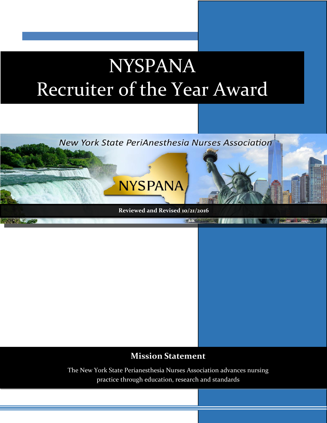## NYSPANA Recruiter of the Year Award



## **Mission Statement**

The New York State Perianesthesia Nurses Association advances nursing practice through education, research and standards